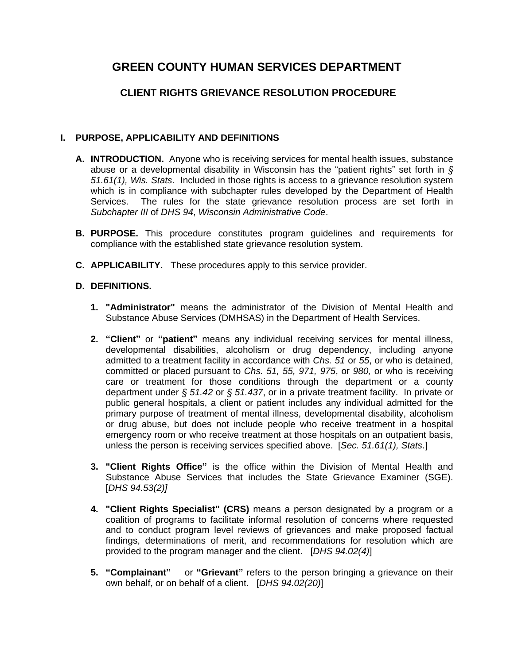# **GREEN COUNTY HUMAN SERVICES DEPARTMENT**

# **CLIENT RIGHTS GRIEVANCE RESOLUTION PROCEDURE**

### **I. PURPOSE, APPLICABILITY AND DEFINITIONS**

- **A. INTRODUCTION.** Anyone who is receiving services for mental health issues, substance abuse or a developmental disability in Wisconsin has the "patient rights" set forth in *§ 51.61(1), Wis. Stats*. Included in those rights is access to a grievance resolution system which is in compliance with subchapter rules developed by the Department of Health Services. The rules for the state grievance resolution process are set forth in *Subchapter III* of *DHS 94*, *Wisconsin Administrative Code*.
- **B. PURPOSE.** This procedure constitutes program guidelines and requirements for compliance with the established state grievance resolution system.
- **C. APPLICABILITY.** These procedures apply to this service provider.

### **D. DEFINITIONS.**

- **1. "Administrator"** means the administrator of the Division of Mental Health and Substance Abuse Services (DMHSAS) in the Department of Health Services.
- **2. "Client"** or **"patient"** means any individual receiving services for mental illness, developmental disabilities, alcoholism or drug dependency, including anyone admitted to a treatment facility in accordance with *Chs. 51* or *55*, or who is detained, committed or placed pursuant to *Chs. 51, 55, 971, 975*, or *980,* or who is receiving care or treatment for those conditions through the department or a county department under *§ 51.42* or *§ 51.437*, or in a private treatment facility. In private or public general hospitals, a client or patient includes any individual admitted for the primary purpose of treatment of mental illness, developmental disability, alcoholism or drug abuse, but does not include people who receive treatment in a hospital emergency room or who receive treatment at those hospitals on an outpatient basis, unless the person is receiving services specified above. [*Sec. 51.61(1), Stats*.]
- **3. "Client Rights Office"** is the office within the Division of Mental Health and Substance Abuse Services that includes the State Grievance Examiner (SGE). [*DHS 94.53(2)]*
- **4. "Client Rights Specialist" (CRS)** means a person designated by a program or a coalition of programs to facilitate informal resolution of concerns where requested and to conduct program level reviews of grievances and make proposed factual findings, determinations of merit, and recommendations for resolution which are provided to the program manager and the client. [*DHS 94.02(4)*]
- **5. "Complainant"** or **"Grievant"** refers to the person bringing a grievance on their own behalf, or on behalf of a client. [*DHS 94.02(20)*]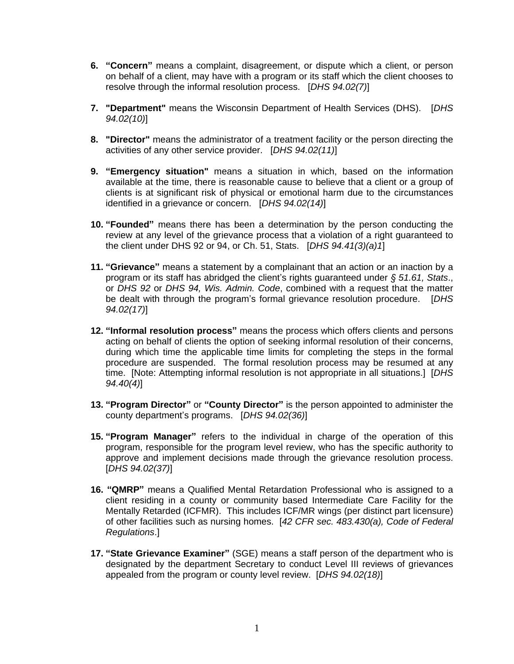- **6. "Concern"** means a complaint, disagreement, or dispute which a client, or person on behalf of a client, may have with a program or its staff which the client chooses to resolve through the informal resolution process. [*DHS 94.02(7)*]
- **7. "Department"** means the Wisconsin Department of Health Services (DHS). [*DHS 94.02(10)*]
- **8. "Director"** means the administrator of a treatment facility or the person directing the activities of any other service provider. [*DHS 94.02(11)*]
- **9. "Emergency situation"** means a situation in which, based on the information available at the time, there is reasonable cause to believe that a client or a group of clients is at significant risk of physical or emotional harm due to the circumstances identified in a grievance or concern. [*DHS 94.02(14)*]
- **10. "Founded"** means there has been a determination by the person conducting the review at any level of the grievance process that a violation of a right guaranteed to the client under DHS 92 or 94, or Ch. 51, Stats. [*DHS 94.41(3)(a)1*]
- **11. "Grievance"** means a statement by a complainant that an action or an inaction by a program or its staff has abridged the client's rights guaranteed under *§ 51.61, Stats*., or *DHS 92* or *DHS 94, Wis. Admin. Code*, combined with a request that the matter be dealt with through the program's formal grievance resolution procedure. [*DHS 94.02(17)*]
- **12. "Informal resolution process"** means the process which offers clients and persons acting on behalf of clients the option of seeking informal resolution of their concerns, during which time the applicable time limits for completing the steps in the formal procedure are suspended. The formal resolution process may be resumed at any time. [Note: Attempting informal resolution is not appropriate in all situations.] [*DHS 94.40(4)*]
- **13. "Program Director"** or **"County Director"** is the person appointed to administer the county department's programs. [*DHS 94.02(36)*]
- **15. "Program Manager"** refers to the individual in charge of the operation of this program, responsible for the program level review, who has the specific authority to approve and implement decisions made through the grievance resolution process. [*DHS 94.02(37)*]
- **16. "QMRP"** means a Qualified Mental Retardation Professional who is assigned to a client residing in a county or community based Intermediate Care Facility for the Mentally Retarded (ICFMR). This includes ICF/MR wings (per distinct part licensure) of other facilities such as nursing homes. [*42 CFR sec. 483.430(a), Code of Federal Regulations*.]
- **17. "State Grievance Examiner"** (SGE) means a staff person of the department who is designated by the department Secretary to conduct Level III reviews of grievances appealed from the program or county level review. [*DHS 94.02(18)*]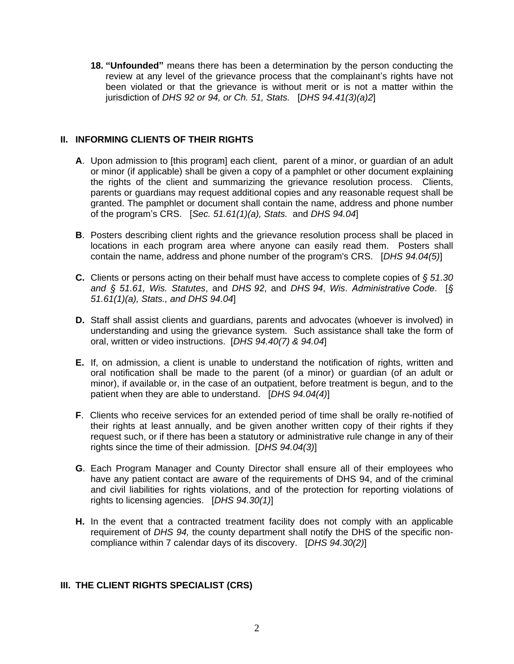**18. "Unfounded"** means there has been a determination by the person conducting the review at any level of the grievance process that the complainant's rights have not been violated or that the grievance is without merit or is not a matter within the jurisdiction of *DHS 92 or 94, or Ch. 51, Stats.* [*DHS 94.41(3)(a)2*]

### **II. INFORMING CLIENTS OF THEIR RIGHTS**

- **A**. Upon admission to [this program] each client, parent of a minor, or guardian of an adult or minor (if applicable) shall be given a copy of a pamphlet or other document explaining the rights of the client and summarizing the grievance resolution process. Clients, parents or guardians may request additional copies and any reasonable request shall be granted. The pamphlet or document shall contain the name, address and phone number of the program's CRS. [*Sec. 51.61(1)(a), Stats.* and *DHS 94.04*]
- **B**. Posters describing client rights and the grievance resolution process shall be placed in locations in each program area where anyone can easily read them. Posters shall contain the name, address and phone number of the program's CRS. [*DHS 94.04(5)*]
- **C.** Clients or persons acting on their behalf must have access to complete copies of *§ 51.30 and § 51.61, Wis. Statutes*, and *DHS 92*, and *DHS 94*, *Wis*. *Administrative Code*. [*§ 51.61(1)(a), Stats., and DHS 94.04*]
- **D.** Staff shall assist clients and guardians, parents and advocates (whoever is involved) in understanding and using the grievance system. Such assistance shall take the form of oral, written or video instructions. [*DHS 94.40(7) & 94.04*]
- **E.** If, on admission, a client is unable to understand the notification of rights, written and oral notification shall be made to the parent (of a minor) or guardian (of an adult or minor), if available or, in the case of an outpatient, before treatment is begun, and to the patient when they are able to understand. [*DHS 94.04(4)*]
- **F**. Clients who receive services for an extended period of time shall be orally re-notified of their rights at least annually, and be given another written copy of their rights if they request such, or if there has been a statutory or administrative rule change in any of their rights since the time of their admission. [*DHS 94.04(3)*]
- **G**. Each Program Manager and County Director shall ensure all of their employees who have any patient contact are aware of the requirements of DHS 94, and of the criminal and civil liabilities for rights violations, and of the protection for reporting violations of rights to licensing agencies. [*DHS 94.30(1)*]
- **H.** In the event that a contracted treatment facility does not comply with an applicable requirement of *DHS 94,* the county department shall notify the DHS of the specific noncompliance within 7 calendar days of its discovery. [*DHS 94.30(2)*]

### **III. THE CLIENT RIGHTS SPECIALIST (CRS)**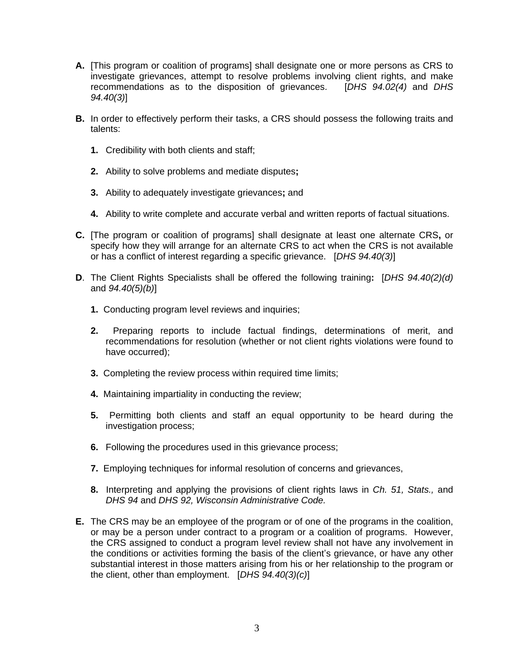- **A.** [This program or coalition of programs] shall designate one or more persons as CRS to investigate grievances, attempt to resolve problems involving client rights, and make recommendations as to the disposition of grievances. [*DHS 94.02(4)* and *DHS 94.40(3)*]
- **B.** In order to effectively perform their tasks, a CRS should possess the following traits and talents:
	- **1.** Credibility with both clients and staff;
	- **2.** Ability to solve problems and mediate disputes**;**
	- **3.** Ability to adequately investigate grievances**;** and
	- **4.** Ability to write complete and accurate verbal and written reports of factual situations.
- **C.** [The program or coalition of programs] shall designate at least one alternate CRS**,** or specify how they will arrange for an alternate CRS to act when the CRS is not available or has a conflict of interest regarding a specific grievance. [*DHS 94.40(3)*]
- **D**. The Client Rights Specialists shall be offered the following training**:** [*DHS 94.40(2)(d)* and *94.40(5)(b)*]
	- **1.** Conducting program level reviews and inquiries;
	- **2.** Preparing reports to include factual findings, determinations of merit, and recommendations for resolution (whether or not client rights violations were found to have occurred);
	- **3.** Completing the review process within required time limits;
	- **4.** Maintaining impartiality in conducting the review;
	- **5.** Permitting both clients and staff an equal opportunity to be heard during the investigation process;
	- **6.** Following the procedures used in this grievance process;
	- **7.** Employing techniques for informal resolution of concerns and grievances,
	- **8.** Interpreting and applying the provisions of client rights laws in *Ch. 51, Stats.,* and *DHS 94* and *DHS 92, Wisconsin Administrative Code.*
- **E.** The CRS may be an employee of the program or of one of the programs in the coalition, or may be a person under contract to a program or a coalition of programs. However, the CRS assigned to conduct a program level review shall not have any involvement in the conditions or activities forming the basis of the client's grievance, or have any other substantial interest in those matters arising from his or her relationship to the program or the client, other than employment. [*DHS 94.40(3)(c)*]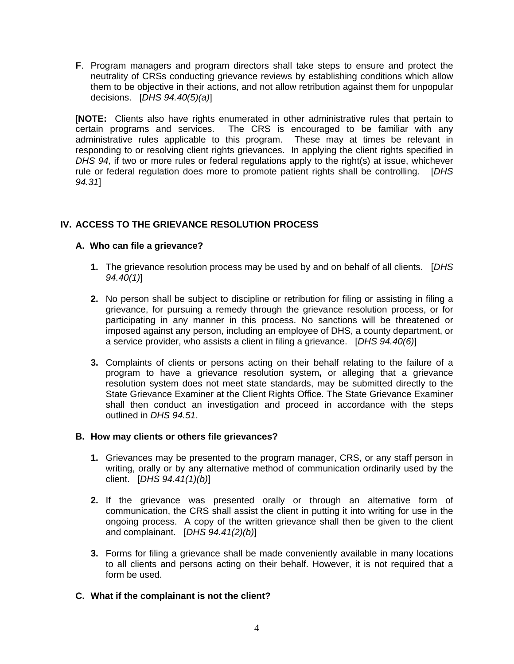**F**. Program managers and program directors shall take steps to ensure and protect the neutrality of CRSs conducting grievance reviews by establishing conditions which allow them to be objective in their actions, and not allow retribution against them for unpopular decisions. [*DHS 94.40(5)(a)*]

[**NOTE:** Clients also have rights enumerated in other administrative rules that pertain to certain programs and services. The CRS is encouraged to be familiar with any administrative rules applicable to this program. These may at times be relevant in responding to or resolving client rights grievances. In applying the client rights specified in *DHS 94,* if two or more rules or federal regulations apply to the right(s) at issue, whichever rule or federal regulation does more to promote patient rights shall be controlling. [*DHS 94.31*]

# **IV. ACCESS TO THE GRIEVANCE RESOLUTION PROCESS**

## **A. Who can file a grievance?**

- **1.** The grievance resolution process may be used by and on behalf of all clients. [*DHS 94.40(1)*]
- **2.** No person shall be subject to discipline or retribution for filing or assisting in filing a grievance, for pursuing a remedy through the grievance resolution process, or for participating in any manner in this process. No sanctions will be threatened or imposed against any person, including an employee of DHS, a county department, or a service provider, who assists a client in filing a grievance. [*DHS 94.40(6)*]
- **3.** Complaints of clients or persons acting on their behalf relating to the failure of a program to have a grievance resolution system**,** or alleging that a grievance resolution system does not meet state standards, may be submitted directly to the State Grievance Examiner at the Client Rights Office. The State Grievance Examiner shall then conduct an investigation and proceed in accordance with the steps outlined in *DHS 94.51*.

### **B. How may clients or others file grievances?**

- **1.** Grievances may be presented to the program manager, CRS, or any staff person in writing, orally or by any alternative method of communication ordinarily used by the client. [*DHS 94.41(1)(b)*]
- **2.** If the grievance was presented orally or through an alternative form of communication, the CRS shall assist the client in putting it into writing for use in the ongoing process. A copy of the written grievance shall then be given to the client and complainant. [*DHS 94.41(2)(b)*]
- **3.** Forms for filing a grievance shall be made conveniently available in many locations to all clients and persons acting on their behalf. However, it is not required that a form be used.
- **C. What if the complainant is not the client?**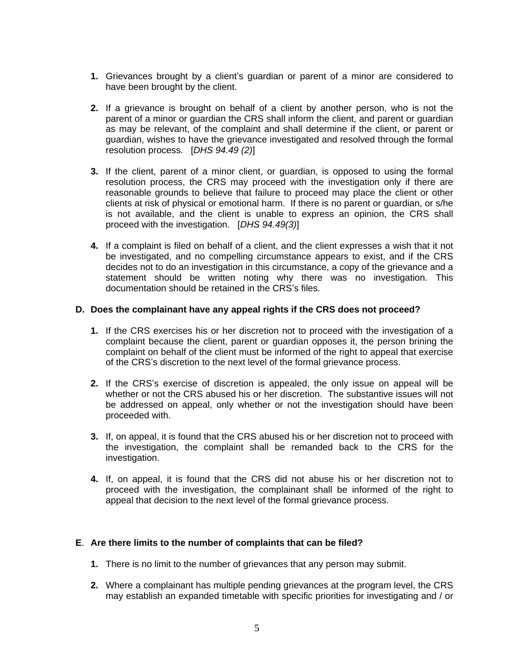- **1.** Grievances brought by a client's guardian or parent of a minor are considered to have been brought by the client.
- **2.** If a grievance is brought on behalf of a client by another person, who is not the parent of a minor or guardian the CRS shall inform the client, and parent or guardian as may be relevant, of the complaint and shall determine if the client, or parent or guardian, wishes to have the grievance investigated and resolved through the formal resolution process. [*DHS 94.49 (2)*]
- **3.** If the client, parent of a minor client, or guardian, is opposed to using the formal resolution process, the CRS may proceed with the investigation only if there are reasonable grounds to believe that failure to proceed may place the client or other clients at risk of physical or emotional harm. If there is no parent or guardian, or s/he is not available, and the client is unable to express an opinion, the CRS shall proceed with the investigation. [*DHS 94.49(3)*]
- **4.** If a complaint is filed on behalf of a client, and the client expresses a wish that it not be investigated, and no compelling circumstance appears to exist, and if the CRS decides not to do an investigation in this circumstance, a copy of the grievance and a statement should be written noting why there was no investigation. This documentation should be retained in the CRS's files.

#### **D. Does the complainant have any appeal rights if the CRS does not proceed?**

- **1.** If the CRS exercises his or her discretion not to proceed with the investigation of a complaint because the client, parent or guardian opposes it, the person brining the complaint on behalf of the client must be informed of the right to appeal that exercise of the CRS's discretion to the next level of the formal grievance process.
- **2.** If the CRS's exercise of discretion is appealed, the only issue on appeal will be whether or not the CRS abused his or her discretion. The substantive issues will not be addressed on appeal, only whether or not the investigation should have been proceeded with.
- **3.** If, on appeal, it is found that the CRS abused his or her discretion not to proceed with the investigation, the complaint shall be remanded back to the CRS for the investigation.
- **4.** If, on appeal, it is found that the CRS did not abuse his or her discretion not to proceed with the investigation, the complainant shall be informed of the right to appeal that decision to the next level of the formal grievance process.

### **E**. **Are there limits to the number of complaints that can be filed?**

- **1.** There is no limit to the number of grievances that any person may submit.
- **2.** Where a complainant has multiple pending grievances at the program level, the CRS may establish an expanded timetable with specific priorities for investigating and / or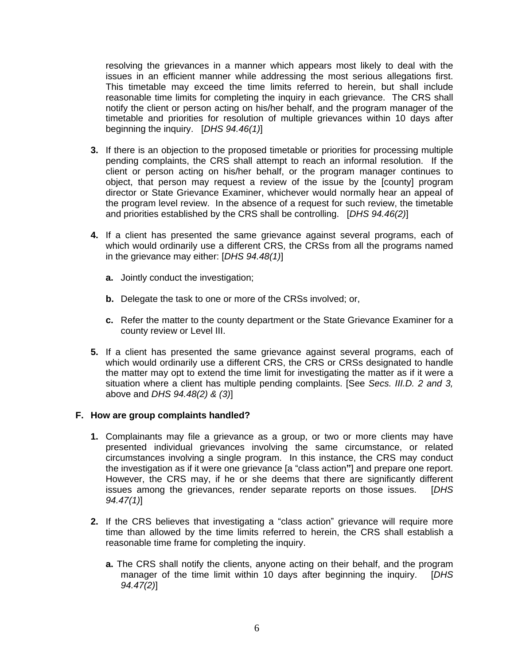resolving the grievances in a manner which appears most likely to deal with the issues in an efficient manner while addressing the most serious allegations first. This timetable may exceed the time limits referred to herein, but shall include reasonable time limits for completing the inquiry in each grievance. The CRS shall notify the client or person acting on his/her behalf, and the program manager of the timetable and priorities for resolution of multiple grievances within 10 days after beginning the inquiry. [*DHS 94.46(1)*]

- **3.** If there is an objection to the proposed timetable or priorities for processing multiple pending complaints, the CRS shall attempt to reach an informal resolution. If the client or person acting on his/her behalf, or the program manager continues to object, that person may request a review of the issue by the [county] program director or State Grievance Examiner, whichever would normally hear an appeal of the program level review. In the absence of a request for such review, the timetable and priorities established by the CRS shall be controlling. [*DHS 94.46(2)*]
- **4.** If a client has presented the same grievance against several programs, each of which would ordinarily use a different CRS, the CRSs from all the programs named in the grievance may either: [*DHS 94.48(1)*]
	- **a.** Jointly conduct the investigation;
	- **b.** Delegate the task to one or more of the CRSs involved; or,
	- **c.** Refer the matter to the county department or the State Grievance Examiner for a county review or Level III.
- **5.** If a client has presented the same grievance against several programs, each of which would ordinarily use a different CRS, the CRS or CRSs designated to handle the matter may opt to extend the time limit for investigating the matter as if it were a situation where a client has multiple pending complaints. [See *Secs. III.D. 2 and 3,* above and *DHS 94.48(2) & (3)*]

#### **F. How are group complaints handled?**

- **1.** Complainants may file a grievance as a group, or two or more clients may have presented individual grievances involving the same circumstance, or related circumstances involving a single program. In this instance, the CRS may conduct the investigation as if it were one grievance [a "class action**"**] and prepare one report. However, the CRS may, if he or she deems that there are significantly different issues among the grievances, render separate reports on those issues. [*DHS 94.47(1)*]
- **2.** If the CRS believes that investigating a "class action" grievance will require more time than allowed by the time limits referred to herein, the CRS shall establish a reasonable time frame for completing the inquiry.
	- **a.** The CRS shall notify the clients, anyone acting on their behalf, and the program manager of the time limit within 10 days after beginning the inquiry. [*DHS 94.47(2)*]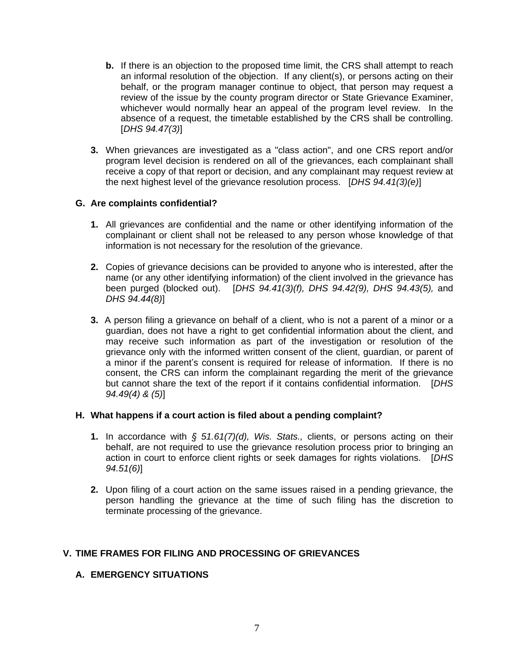- **b.** If there is an objection to the proposed time limit, the CRS shall attempt to reach an informal resolution of the objection. If any client(s), or persons acting on their behalf, or the program manager continue to object, that person may request a review of the issue by the county program director or State Grievance Examiner, whichever would normally hear an appeal of the program level review. In the absence of a request, the timetable established by the CRS shall be controlling. [*DHS 94.47(3)*]
- **3.** When grievances are investigated as a "class action", and one CRS report and/or program level decision is rendered on all of the grievances, each complainant shall receive a copy of that report or decision, and any complainant may request review at the next highest level of the grievance resolution process. [*DHS 94.41(3)(e)*]

## **G. Are complaints confidential?**

- **1.** All grievances are confidential and the name or other identifying information of the complainant or client shall not be released to any person whose knowledge of that information is not necessary for the resolution of the grievance.
- **2.** Copies of grievance decisions can be provided to anyone who is interested, after the name (or any other identifying information) of the client involved in the grievance has been purged (blocked out). [*DHS 94.41(3)(f), DHS 94.42(9), DHS 94.43(5),* and *DHS 94.44(8)*]
- **3.** A person filing a grievance on behalf of a client, who is not a parent of a minor or a guardian, does not have a right to get confidential information about the client, and may receive such information as part of the investigation or resolution of the grievance only with the informed written consent of the client, guardian, or parent of a minor if the parent's consent is required for release of information. If there is no consent, the CRS can inform the complainant regarding the merit of the grievance but cannot share the text of the report if it contains confidential information. [*DHS 94.49(4) & (5)*]

### **H. What happens if a court action is filed about a pending complaint?**

- **1.** In accordance with *§ 51.61(7)(d), Wis. Stats.,* clients, or persons acting on their behalf, are not required to use the grievance resolution process prior to bringing an action in court to enforce client rights or seek damages for rights violations. [*DHS 94.51(6)*]
- **2.** Upon filing of a court action on the same issues raised in a pending grievance, the person handling the grievance at the time of such filing has the discretion to terminate processing of the grievance.

### **V. TIME FRAMES FOR FILING AND PROCESSING OF GRIEVANCES**

### **A. EMERGENCY SITUATIONS**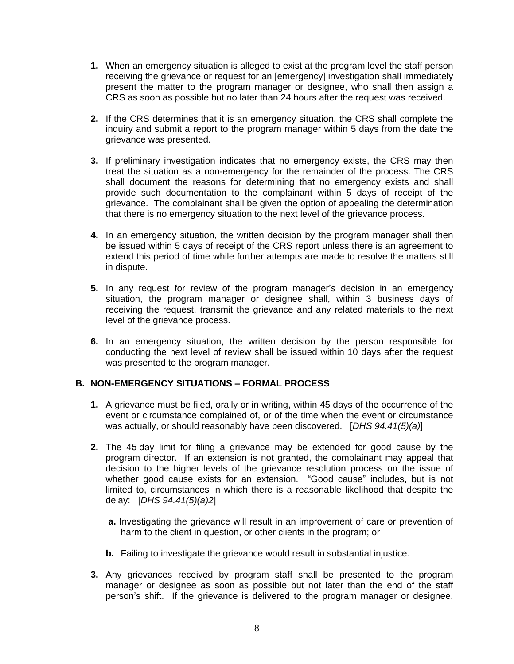- **1.** When an emergency situation is alleged to exist at the program level the staff person receiving the grievance or request for an [emergency] investigation shall immediately present the matter to the program manager or designee, who shall then assign a CRS as soon as possible but no later than 24 hours after the request was received.
- **2.** If the CRS determines that it is an emergency situation, the CRS shall complete the inquiry and submit a report to the program manager within 5 days from the date the grievance was presented.
- **3.** If preliminary investigation indicates that no emergency exists, the CRS may then treat the situation as a non-emergency for the remainder of the process. The CRS shall document the reasons for determining that no emergency exists and shall provide such documentation to the complainant within 5 days of receipt of the grievance. The complainant shall be given the option of appealing the determination that there is no emergency situation to the next level of the grievance process.
- **4.** In an emergency situation, the written decision by the program manager shall then be issued within 5 days of receipt of the CRS report unless there is an agreement to extend this period of time while further attempts are made to resolve the matters still in dispute.
- **5.** In any request for review of the program manager's decision in an emergency situation, the program manager or designee shall, within 3 business days of receiving the request, transmit the grievance and any related materials to the next level of the grievance process.
- **6.** In an emergency situation, the written decision by the person responsible for conducting the next level of review shall be issued within 10 days after the request was presented to the program manager.

### **B. NON-EMERGENCY SITUATIONS – FORMAL PROCESS**

- **1.** A grievance must be filed, orally or in writing, within 45 days of the occurrence of the event or circumstance complained of, or of the time when the event or circumstance was actually, or should reasonably have been discovered. [*DHS 94.41(5)(a)*]
- **2.** The 45 day limit for filing a grievance may be extended for good cause by the program director. If an extension is not granted, the complainant may appeal that decision to the higher levels of the grievance resolution process on the issue of whether good cause exists for an extension. "Good cause" includes, but is not limited to, circumstances in which there is a reasonable likelihood that despite the delay: [*DHS 94.41(5)(a)2*]
	- **a.** Investigating the grievance will result in an improvement of care or prevention of harm to the client in question, or other clients in the program; or
	- **b.** Failing to investigate the grievance would result in substantial injustice.
- **3.** Any grievances received by program staff shall be presented to the program manager or designee as soon as possible but not later than the end of the staff person's shift. If the grievance is delivered to the program manager or designee,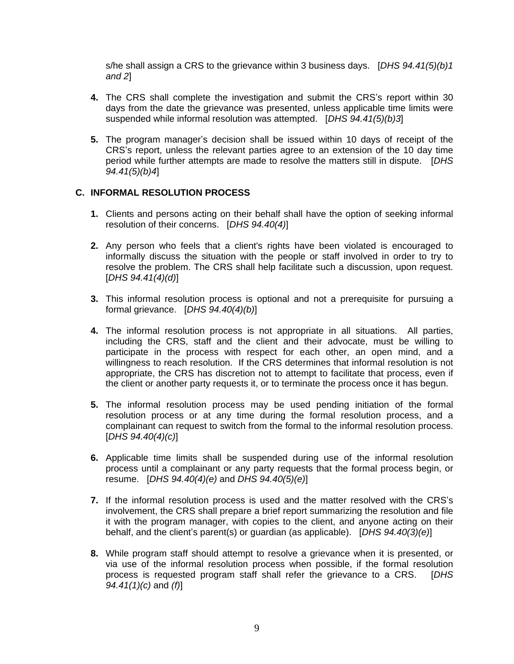s/he shall assign a CRS to the grievance within 3 business days. [*DHS 94.41(5)(b)1 and 2*]

- **4.** The CRS shall complete the investigation and submit the CRS's report within 30 days from the date the grievance was presented, unless applicable time limits were suspended while informal resolution was attempted. [*DHS 94.41(5)(b)3*]
- **5.** The program manager's decision shall be issued within 10 days of receipt of the CRS's report, unless the relevant parties agree to an extension of the 10 day time period while further attempts are made to resolve the matters still in dispute. [*DHS 94.41(5)(b)4*]

### **C. INFORMAL RESOLUTION PROCESS**

- **1.** Clients and persons acting on their behalf shall have the option of seeking informal resolution of their concerns. [*DHS 94.40(4)*]
- **2.** Any person who feels that a client's rights have been violated is encouraged to informally discuss the situation with the people or staff involved in order to try to resolve the problem. The CRS shall help facilitate such a discussion, upon request. [*DHS 94.41(4)(d)*]
- **3.** This informal resolution process is optional and not a prerequisite for pursuing a formal grievance. [*DHS 94.40(4)(b)*]
- **4.** The informal resolution process is not appropriate in all situations. All parties, including the CRS, staff and the client and their advocate, must be willing to participate in the process with respect for each other, an open mind, and a willingness to reach resolution. If the CRS determines that informal resolution is not appropriate, the CRS has discretion not to attempt to facilitate that process, even if the client or another party requests it, or to terminate the process once it has begun.
- **5.** The informal resolution process may be used pending initiation of the formal resolution process or at any time during the formal resolution process, and a complainant can request to switch from the formal to the informal resolution process. [*DHS 94.40(4)(c)*]
- **6.** Applicable time limits shall be suspended during use of the informal resolution process until a complainant or any party requests that the formal process begin, or resume. [*DHS 94.40(4)(e)* and *DHS 94.40(5)(e)*]
- **7.** If the informal resolution process is used and the matter resolved with the CRS's involvement, the CRS shall prepare a brief report summarizing the resolution and file it with the program manager, with copies to the client, and anyone acting on their behalf, and the client's parent(s) or guardian (as applicable). [*DHS 94.40(3)(e)*]
- **8.** While program staff should attempt to resolve a grievance when it is presented, or via use of the informal resolution process when possible, if the formal resolution process is requested program staff shall refer the grievance to a CRS. [*DHS 94.41(1)(c)* and *(f)*]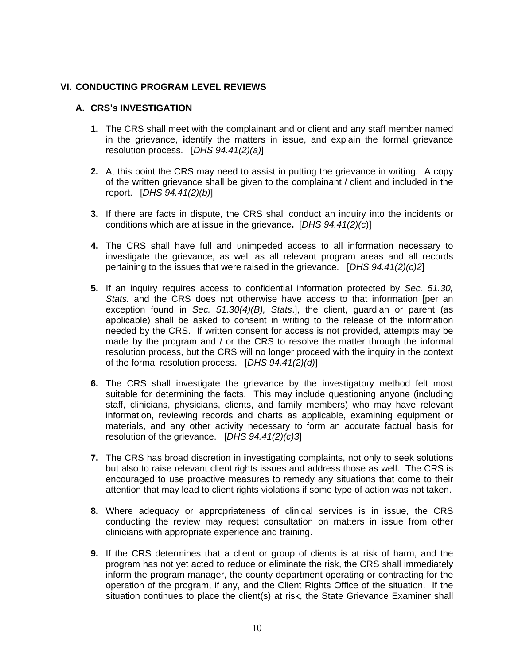## **VI. CONDUCTING PROGRAM LEVEL REVIEWS**

#### **A. CRS's INVESTIGATION**

- **1.** The CRS shall meet with the complainant and or client and any staff member named in the grievance, **i**dentify the matters in issue, and explain the formal grievance resolution process. [*DHS 94.41(2)(a)*]
- **2.** At this point the CRS may need to assist in putting the grievance in writing. A copy of the written grievance shall be given to the complainant / client and included in the report. [*DHS 94.41(2)(b)*]
- **3.** If there are facts in dispute, the CRS shall conduct an inquiry into the incidents or conditions which are at issue in the grievance**.** [*DHS 94.41(2)(c*)]
- **4.** The CRS shall have full and unimpeded access to all information necessary to investigate the grievance, as well as all relevant program areas and all records pertaining to the issues that were raised in the grievance. [*DHS 94.41(2)(c)2*]
- **5.** If an inquiry requires access to confidential information protected by *Sec. 51.30, Stats.* and the CRS does not otherwise have access to that information [per an exception found in *Sec. 51.30(4)(B), Stats*.], the client, guardian or parent (as applicable) shall be asked to consent in writing to the release of the information needed by the CRS. If written consent for access is not provided, attempts may be made by the program and / or the CRS to resolve the matter through the informal resolution process, but the CRS will no longer proceed with the inquiry in the context of the formal resolution process. [*DHS 94.41(2)(d)*]
- **6.** The CRS shall investigate the grievance by the investigatory method felt most suitable for determining the facts. This may include questioning anyone (including staff, clinicians, physicians, clients, and family members) who may have relevant information, reviewing records and charts as applicable, examining equipment or materials, and any other activity necessary to form an accurate factual basis for resolution of the grievance. [*DHS 94.41(2)(c)3*]
- **7.** The CRS has broad discretion in **i**nvestigating complaints, not only to seek solutions but also to raise relevant client rights issues and address those as well. The CRS is encouraged to use proactive measures to remedy any situations that come to their attention that may lead to client rights violations if some type of action was not taken.
- **8.** Where adequacy or appropriateness of clinical services is in issue, the CRS conducting the review may request consultation on matters in issue from other clinicians with appropriate experience and training.
- **9.** If the CRS determines that a client or group of clients is at risk of harm, and the program has not yet acted to reduce or eliminate the risk, the CRS shall immediately inform the program manager, the county department operating or contracting for the operation of the program, if any, and the Client Rights Office of the situation. If the situation continues to place the client(s) at risk, the State Grievance Examiner shall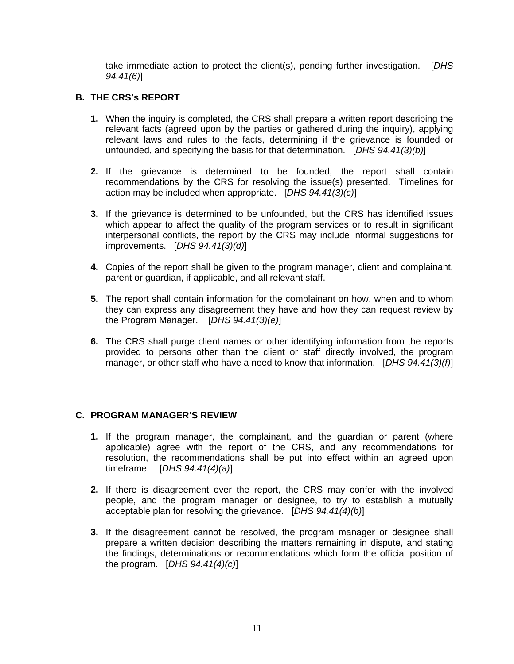take immediate action to protect the client(s), pending further investigation. [*DHS 94.41(6)*]

# **B. THE CRS's REPORT**

- **1.** When the inquiry is completed, the CRS shall prepare a written report describing the relevant facts (agreed upon by the parties or gathered during the inquiry), applying relevant laws and rules to the facts, determining if the grievance is founded or unfounded, and specifying the basis for that determination. [*DHS 94.41(3)(b)*]
- **2.** If the grievance is determined to be founded, the report shall contain recommendations by the CRS for resolving the issue(s) presented. Timelines for action may be included when appropriate. [*DHS 94.41(3)(c)*]
- **3.** If the grievance is determined to be unfounded, but the CRS has identified issues which appear to affect the quality of the program services or to result in significant interpersonal conflicts, the report by the CRS may include informal suggestions for improvements. [*DHS 94.41(3)(d)*]
- **4.** Copies of the report shall be given to the program manager, client and complainant, parent or guardian, if applicable, and all relevant staff.
- **5.** The report shall contain **i**nformation for the complainant on how, when and to whom they can express any disagreement they have and how they can request review by the Program Manager. [*DHS 94.41(3)(e)*]
- **6.** The CRS shall purge client names or other identifying information from the reports provided to persons other than the client or staff directly involved, the program manager, or other staff who have a need to know that information. [*DHS 94.41(3)(f)*]

### **C. PROGRAM MANAGER'S REVIEW**

- **1.** If the program manager, the complainant, and the guardian or parent (where applicable) agree with the report of the CRS, and any recommendations for resolution, the recommendations shall be put into effect within an agreed upon timeframe. [*DHS 94.41(4)(a)*]
- **2.** If there is disagreement over the report, the CRS may confer with the involved people, and the program manager or designee, to try to establish a mutually acceptable plan for resolving the grievance. [*DHS 94.41(4)(b)*]
- **3.** If the disagreement cannot be resolved, the program manager or designee shall prepare a written decision describing the matters remaining in dispute, and stating the findings, determinations or recommendations which form the official position of the program. [*DHS 94.41(4)(c)*]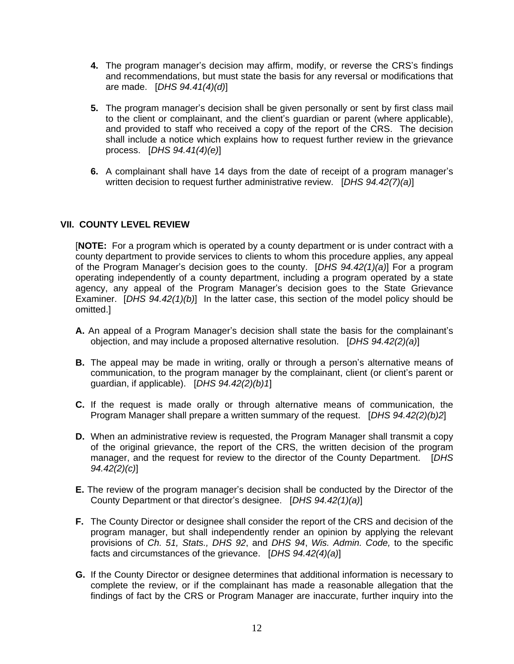- **4.** The program manager's decision may affirm, modify, or reverse the CRS's findings and recommendations, but must state the basis for any reversal or modifications that are made. [*DHS 94.41(4)(d)*]
- **5.** The program manager's decision shall be given personally or sent by first class mail to the client or complainant, and the client's guardian or parent (where applicable), and provided to staff who received a copy of the report of the CRS. The decision shall include a notice which explains how to request further review in the grievance process. [*DHS 94.41(4)(e)*]
- **6.** A complainant shall have 14 days from the date of receipt of a program manager's written decision to request further administrative review. [*DHS 94.42(7)(a)*]

### **VII. COUNTY LEVEL REVIEW**

[**NOTE:** For a program which is operated by a county department or is under contract with a county department to provide services to clients to whom this procedure applies, any appeal of the Program Manager's decision goes to the county. [*DHS 94.42(1)(a)*] For a program operating independently of a county department, including a program operated by a state agency, any appeal of the Program Manager's decision goes to the State Grievance Examiner. [*DHS 94.42(1)(b)*] In the latter case, this section of the model policy should be omitted.]

- **A.** An appeal of a Program Manager's decision shall state the basis for the complainant's objection, and may include a proposed alternative resolution. [*DHS 94.42(2)(a)*]
- **B.** The appeal may be made in writing, orally or through a person's alternative means of communication, to the program manager by the complainant, client (or client's parent or guardian, if applicable). [*DHS 94.42(2)(b)1*]
- **C.** If the request is made orally or through alternative means of communication, the Program Manager shall prepare a written summary of the request.[*DHS 94.42(2)(b)2*]
- **D.** When an administrative review is requested, the Program Manager shall transmit a copy of the original grievance, the report of the CRS, the written decision of the program manager, and the request for review to the director of the County Department. [*DHS 94.42(2)(c)*]
- **E.** The review of the program manager's decision shall be conducted by the Director of the County Department or that director's designee. [*DHS 94.42(1)(a)*]
- **F.** The County Director or designee shall consider the report of the CRS and decision of the program manager, but shall independently render an opinion by applying the relevant provisions of *Ch. 51, Stats., DHS 92*, and *DHS 94*, *Wis. Admin. Code,* to the specific facts and circumstances of the grievance.[*DHS 94.42(4)(a)*]
- **G.** If the County Director or designee determines that additional information is necessary to complete the review, or if the complainant has made a reasonable allegation that the findings of fact by the CRS or Program Manager are inaccurate, further inquiry into the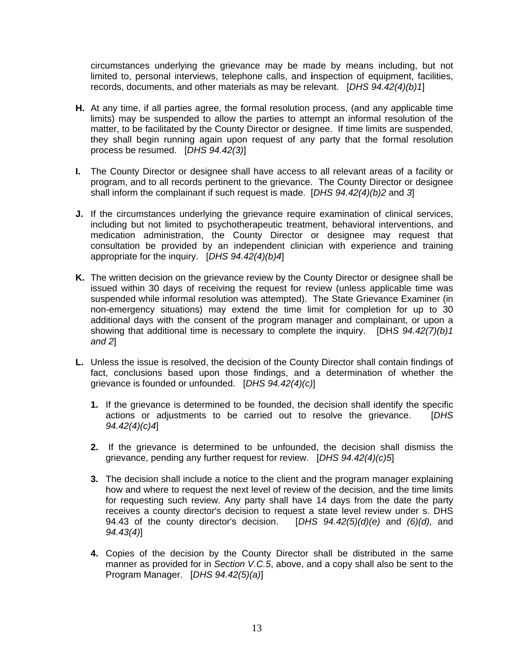circumstances underlying the grievance may be made by means including, but not limited to, personal interviews, telephone calls, and **i**nspection of equipment, facilities, records, documents, and other materials as may be relevant. [*DHS 94.42(4)(b)1*]

- **H.** At any time, if all parties agree, the formal resolution process, (and any applicable time limits) may be suspended to allow the parties to attempt an informal resolution of the matter, to be facilitated by the County Director or designee. If time limits are suspended, they shall begin running again upon request of any party that the formal resolution process be resumed. [*DHS 94.42(3)*]
- **I.** The County Director or designee shall have access to all relevant areas of a facility or program, and to all records pertinent to the grievance. The County Director or designee shall inform the complainant if such request is made. [*DHS 94.42(4)(b)2* and *3*]
- **J.** If the circumstances underlying the grievance require examination of clinical services, including but not limited to psychotherapeutic treatment, behavioral interventions, and medication administration, the County Director or designee may request that consultation be provided by an independent clinician with experience and training appropriate for the inquiry. [*DHS 94.42(4)(b)4*]
- **K.** The written decision on the grievance review by the County Director or designee shall be issued within 30 days of receiving the request for review (unless applicable time was suspended while informal resolution was attempted). The State Grievance Examiner (in non-emergency situations) may extend the time limit for completion for up to 30 additional days with the consent of the program manager and complainant, or upon a showing that additional time is necessary to complete the inquiry. [DH*S 94.42(7)(b)1 and 2*]
- **L.** Unless the issue is resolved, the decision of the County Director shall contain findings of fact, conclusions based upon those findings, and a determination of whether the grievance is founded or unfounded. [*DHS 94.42(4)(c)*]
	- **1.** If the grievance is determined to be founded, the decision shall identify the specific actions or adjustments to be carried out to resolve the grievance. [*DHS 94.42(4)(c)4*]
	- **2.** If the grievance is determined to be unfounded, the decision shall dismiss the grievance, pending any further request for review. [*DHS 94.42(4)(c)5*]
	- **3.** The decision shall include a notice to the client and the program manager explaining how and where to request the next level of review of the decision, and the time limits for requesting such review. Any party shall have 14 days from the date the party receives a county director's decision to request a state level review under s. DHS 94.43 of the county director's decision. [*DHS 94.42(5)(d)(e)* and *(6)(d),* and *94.43(4)*]
	- **4.** Copies of the decision by the County Director shall be distributed in the same manner as provided for in *Section V.C.5*, above, and a copy shall also be sent to the Program Manager. [*DHS 94.42(5)(a)*]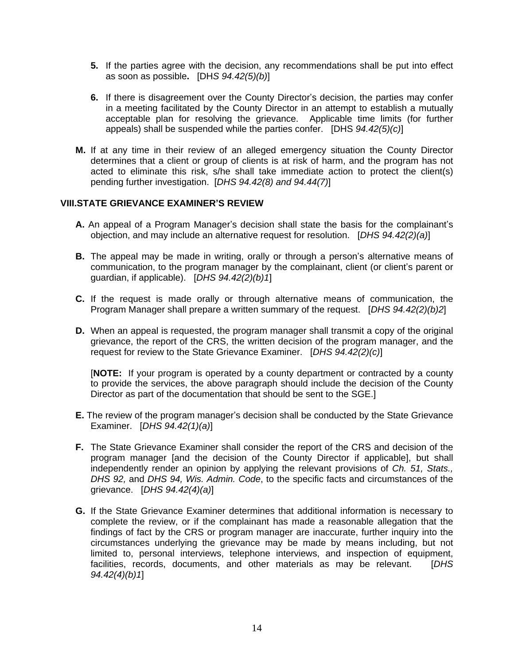- **5.** If the parties agree with the decision, any recommendations shall be put into effect as soon as possible**.** [DH*S 94.42(5)(b)*]
- **6.** If there is disagreement over the County Director's decision, the parties may confer in a meeting facilitated by the County Director in an attempt to establish a mutually acceptable plan for resolving the grievance. Applicable time limits (for further appeals) shall be suspended while the parties confer.[DHS *94.42(5)(c)*]
- **M.** If at any time in their review of an alleged emergency situation the County Director determines that a client or group of clients is at risk of harm, and the program has not acted to eliminate this risk, s/he shall take immediate action to protect the client(s) pending further investigation. [*DHS 94.42(8) and 94.44(7)*]

### **VIII.STATE GRIEVANCE EXAMINER'S REVIEW**

- **A.** An appeal of a Program Manager's decision shall state the basis for the complainant's objection, and may include an alternative request for resolution. [*DHS 94.42(2)(a)*]
- **B.** The appeal may be made in writing, orally or through a person's alternative means of communication, to the program manager by the complainant, client (or client's parent or guardian, if applicable). [*DHS 94.42(2)(b)1*]
- **C.** If the request is made orally or through alternative means of communication, the Program Manager shall prepare a written summary of the request.[*DHS 94.42(2)(b)2*]
- **D.** When an appeal is requested, the program manager shall transmit a copy of the original grievance, the report of the CRS, the written decision of the program manager, and the request for review to the State Grievance Examiner. [*DHS 94.42(2)(c)*]

[**NOTE:** If your program is operated by a county department or contracted by a county to provide the services, the above paragraph should include the decision of the County Director as part of the documentation that should be sent to the SGE.]

- **E.** The review of the program manager's decision shall be conducted by the State Grievance Examiner. [*DHS 94.42(1)(a)*]
- **F.** The State Grievance Examiner shall consider the report of the CRS and decision of the program manager [and the decision of the County Director if applicable], but shall independently render an opinion by applying the relevant provisions of *Ch. 51, Stats., DHS 92,* and *DHS 94, Wis. Admin. Code*, to the specific facts and circumstances of the grievance.[*DHS 94.42(4)(a)*]
- **G.** If the State Grievance Examiner determines that additional information is necessary to complete the review, or if the complainant has made a reasonable allegation that the findings of fact by the CRS or program manager are inaccurate, further inquiry into the circumstances underlying the grievance may be made by means including, but not limited to, personal interviews, telephone interviews, and inspection of equipment, facilities, records, documents, and other materials as may be relevant. [*DHS 94.42(4)(b)1*]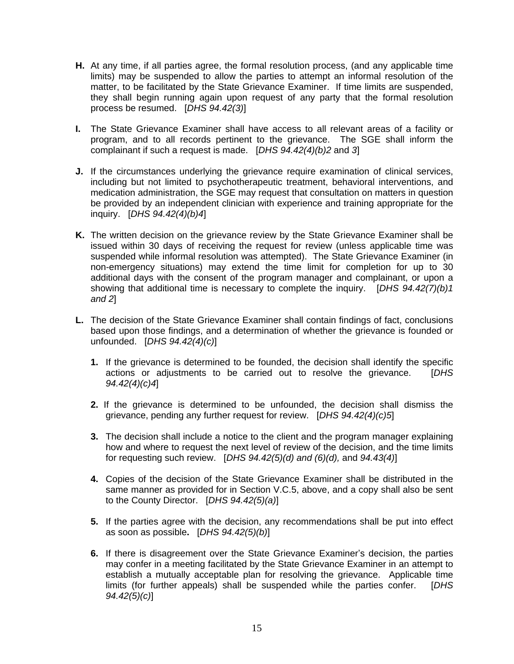- **H.** At any time, if all parties agree, the formal resolution process, (and any applicable time limits) may be suspended to allow the parties to attempt an informal resolution of the matter, to be facilitated by the State Grievance Examiner. If time limits are suspended, they shall begin running again upon request of any party that the formal resolution process be resumed. [*DHS 94.42(3)*]
- **I.** The State Grievance Examiner shall have access to all relevant areas of a facility or program, and to all records pertinent to the grievance. The SGE shall inform the complainant if such a request is made. [*DHS 94.42(4)(b)2* and *3*]
- **J.** If the circumstances underlying the grievance require examination of clinical services, including but not limited to psychotherapeutic treatment, behavioral interventions, and medication administration, the SGE may request that consultation on matters in question be provided by an independent clinician with experience and training appropriate for the inquiry. [*DHS 94.42(4)(b)4*]
- **K.** The written decision on the grievance review by the State Grievance Examiner shall be issued within 30 days of receiving the request for review (unless applicable time was suspended while informal resolution was attempted). The State Grievance Examiner (in non-emergency situations) may extend the time limit for completion for up to 30 additional days with the consent of the program manager and complainant, or upon a showing that additional time is necessary to complete the inquiry. [*DHS 94.42(7)(b)1 and 2*]
- **L.** The decision of the State Grievance Examiner shall contain findings of fact, conclusions based upon those findings, and a determination of whether the grievance is founded or unfounded. [*DHS 94.42(4)(c)*]
	- **1.** If the grievance is determined to be founded, the decision shall identify the specific actions or adjustments to be carried out to resolve the grievance. [*DHS 94.42(4)(c)4*]
	- **2.** If the grievance is determined to be unfounded, the decision shall dismiss the grievance, pending any further request for review. [*DHS 94.42(4)(c)5*]
	- **3.** The decision shall include a notice to the client and the program manager explaining how and where to request the next level of review of the decision, and the time limits for requesting such review. [*DHS 94.42(5)(d) and (6)(d),* and *94.43(4)*]
	- **4.** Copies of the decision of the State Grievance Examiner shall be distributed in the same manner as provided for in Section V.C.5, above, and a copy shall also be sent to the County Director. [*DHS 94.42(5)(a)*]
	- **5.** If the parties agree with the decision, any recommendations shall be put into effect as soon as possible**.** [*DHS 94.42(5)(b)*]
	- **6.** If there is disagreement over the State Grievance Examiner's decision, the parties may confer in a meeting facilitated by the State Grievance Examiner in an attempt to establish a mutually acceptable plan for resolving the grievance. Applicable time limits (for further appeals) shall be suspended while the parties confer. [*DHS 94.42(5)(c)*]